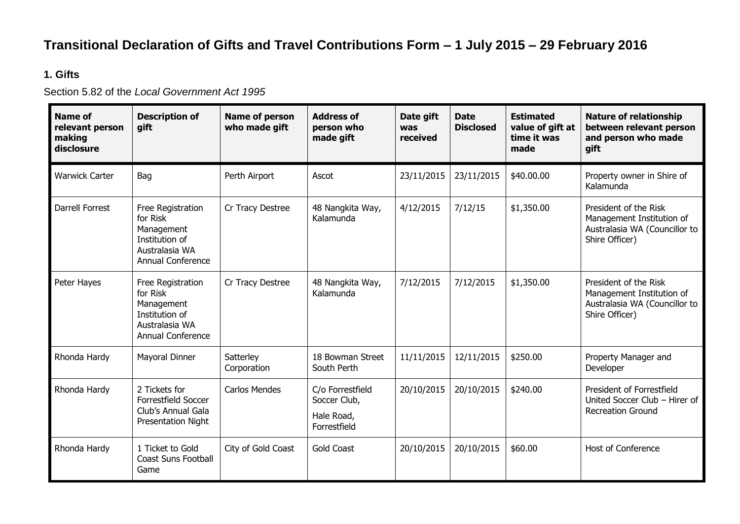## **Transitional Declaration of Gifts and Travel Contributions Form – 1 July 2015 – 29 February 2016**

## **1. Gifts**

Section 5.82 of the *Local Government Act 1995*

| <b>Name of</b><br>relevant person<br>making<br>disclosure | <b>Description of</b><br>gift                                                                               | <b>Name of person</b><br>who made gift | <b>Address of</b><br>person who<br>made gift                   | Date gift<br>was<br>received | <b>Date</b><br><b>Disclosed</b> | <b>Estimated</b><br>value of gift at<br>time it was<br>made | <b>Nature of relationship</b><br>between relevant person<br>and person who made<br>gift               |  |
|-----------------------------------------------------------|-------------------------------------------------------------------------------------------------------------|----------------------------------------|----------------------------------------------------------------|------------------------------|---------------------------------|-------------------------------------------------------------|-------------------------------------------------------------------------------------------------------|--|
| <b>Warwick Carter</b>                                     | Bag                                                                                                         | Perth Airport                          | Ascot                                                          | 23/11/2015                   | 23/11/2015                      | \$40.00.00                                                  | Property owner in Shire of<br>Kalamunda                                                               |  |
| <b>Darrell Forrest</b>                                    | Free Registration<br>for Risk<br>Management<br>Institution of<br>Australasia WA<br><b>Annual Conference</b> | Cr Tracy Destree                       | 48 Nangkita Way,<br>Kalamunda                                  | 4/12/2015                    | 7/12/15                         | \$1,350.00                                                  | President of the Risk<br>Management Institution of<br>Australasia WA (Councillor to<br>Shire Officer) |  |
| Peter Hayes                                               | Free Registration<br>for Risk<br>Management<br>Institution of<br>Australasia WA<br><b>Annual Conference</b> | Cr Tracy Destree                       | 48 Nangkita Way,<br>Kalamunda                                  | 7/12/2015                    | 7/12/2015                       | \$1,350.00                                                  | President of the Risk<br>Management Institution of<br>Australasia WA (Councillor to<br>Shire Officer) |  |
| Rhonda Hardy                                              | <b>Mayoral Dinner</b>                                                                                       | Satterley<br>Corporation               | 18 Bowman Street<br>South Perth                                | 11/11/2015                   | 12/11/2015                      | \$250.00                                                    | Property Manager and<br>Developer                                                                     |  |
| Rhonda Hardy                                              | 2 Tickets for<br>Forrestfield Soccer<br>Club's Annual Gala<br><b>Presentation Night</b>                     | <b>Carlos Mendes</b>                   | C/o Forrestfield<br>Soccer Club,<br>Hale Road,<br>Forrestfield | 20/10/2015                   | 20/10/2015                      | \$240.00                                                    | President of Forrestfield<br>United Soccer Club - Hirer of<br><b>Recreation Ground</b>                |  |
| Rhonda Hardy                                              | 1 Ticket to Gold<br><b>Coast Suns Football</b><br>Game                                                      | City of Gold Coast                     | <b>Gold Coast</b>                                              | 20/10/2015                   | 20/10/2015                      | \$60.00                                                     | Host of Conference                                                                                    |  |